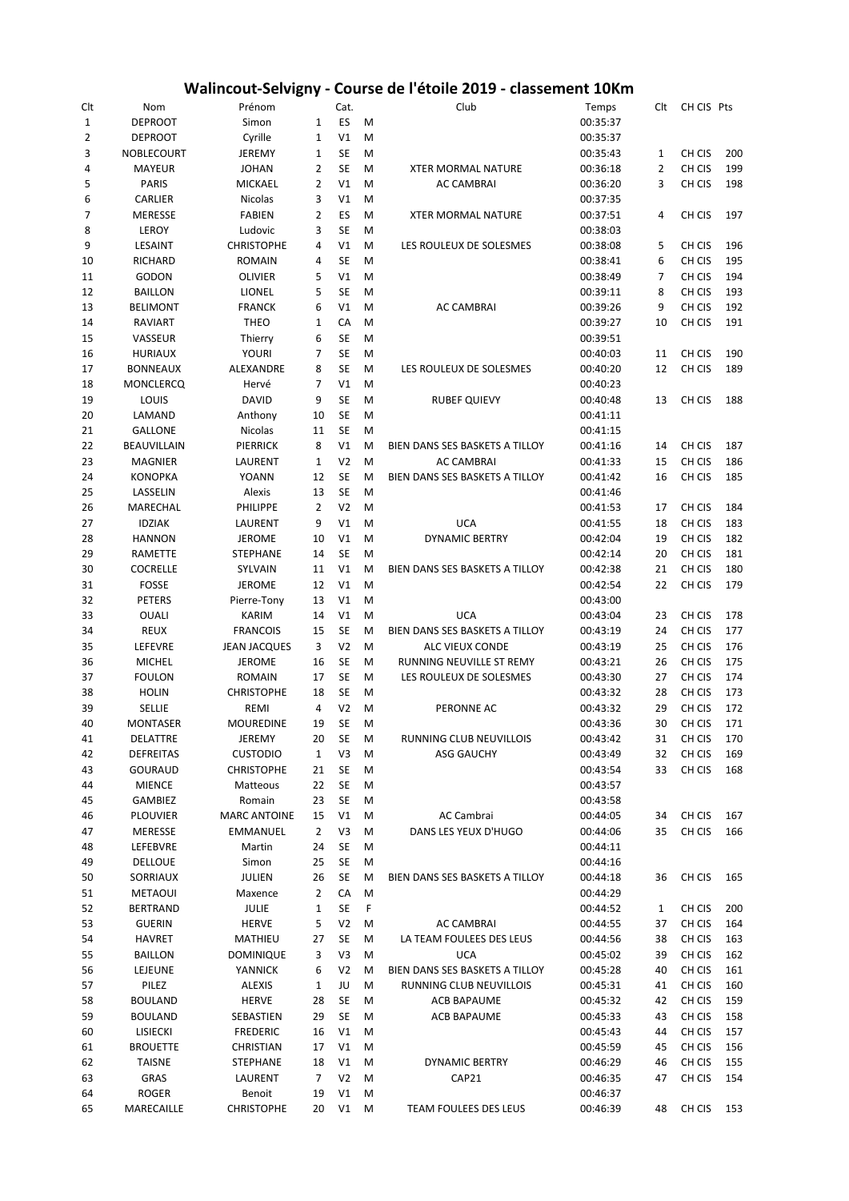## **Walincout-Selvigny - Course de l'étoile 2019 - classement 10Km**

| Clt            | Nom              | Prénom              |                | Cat.           |   | Club                           | Temps                | Clt            | CH CIS Pts |     |
|----------------|------------------|---------------------|----------------|----------------|---|--------------------------------|----------------------|----------------|------------|-----|
| $\mathbf 1$    | <b>DEPROOT</b>   | Simon               | $1\,$          | ES             | M |                                | 00:35:37             |                |            |     |
| $\overline{2}$ | <b>DEPROOT</b>   | Cyrille             | $\mathbf{1}$   | V1             | M |                                | 00:35:37             |                |            |     |
| 3              | NOBLECOURT       | <b>JEREMY</b>       | 1              | <b>SE</b>      | M |                                | 00:35:43             | 1              | CH CIS     | 200 |
| 4              | <b>MAYEUR</b>    | <b>JOHAN</b>        | $\overline{2}$ | <b>SE</b>      | M | <b>XTER MORMAL NATURE</b>      | 00:36:18             | $\overline{2}$ | CH CIS     | 199 |
| 5              | <b>PARIS</b>     | <b>MICKAEL</b>      | $\overline{2}$ | V1             | M | AC CAMBRAI                     | 00:36:20             | 3              | CH CIS     | 198 |
| 6              | CARLIER          | Nicolas             | 3              | V1             | M |                                | 00:37:35             |                |            |     |
| 7              | <b>MERESSE</b>   | <b>FABIEN</b>       | $\overline{2}$ | ES             | M | <b>XTER MORMAL NATURE</b>      | 00:37:51             | 4              | CH CIS     | 197 |
| 8              | LEROY            | Ludovic             | 3              | <b>SE</b>      | M |                                | 00:38:03             |                |            |     |
| 9              | LESAINT          | <b>CHRISTOPHE</b>   | 4              | V1             | M | LES ROULEUX DE SOLESMES        | 00:38:08             | 5              | CH CIS     | 196 |
| 10             | <b>RICHARD</b>   | <b>ROMAIN</b>       | 4              | <b>SE</b>      | M |                                | 00:38:41             | 6              | CH CIS     | 195 |
| 11             | <b>GODON</b>     | <b>OLIVIER</b>      | 5              | V1             | M |                                | 00:38:49             | 7              | CH CIS     | 194 |
| 12             | <b>BAILLON</b>   | <b>LIONEL</b>       | 5              | <b>SE</b>      | M |                                | 00:39:11             | 8              | CH CIS     | 193 |
| 13             | <b>BELIMONT</b>  | <b>FRANCK</b>       | 6              | V1             | M | <b>AC CAMBRAI</b>              | 00:39:26             | 9              | CH CIS     | 192 |
| 14             | <b>RAVIART</b>   | <b>THEO</b>         | $\mathbf{1}$   | CA             | M |                                | 00:39:27             | 10             | CH CIS     | 191 |
| 15             | VASSEUR          | Thierry             | 6              | <b>SE</b>      | M |                                | 00:39:51             |                |            |     |
| 16             | <b>HURIAUX</b>   | <b>YOURI</b>        | 7              | <b>SE</b>      | M |                                | 00:40:03             | 11             | CH CIS     | 190 |
|                |                  | ALEXANDRE           | 8              | <b>SE</b>      |   |                                |                      | 12             | CH CIS     | 189 |
| 17             | <b>BONNEAUX</b>  |                     |                |                | M | LES ROULEUX DE SOLESMES        | 00:40:20             |                |            |     |
| 18             | <b>MONCLERCQ</b> | Hervé               | 7              | V1             | M |                                | 00:40:23             |                |            |     |
| 19             | LOUIS            | DAVID               | 9              | <b>SE</b>      | M | <b>RUBEF QUIEVY</b>            | 00:40:48             | 13             | CH CIS     | 188 |
| 20             | LAMAND           | Anthony             | 10             | <b>SE</b>      | M |                                | 00:41:11             |                |            |     |
| 21             | <b>GALLONE</b>   | <b>Nicolas</b>      | 11             | <b>SE</b>      | M |                                | 00:41:15             |                |            |     |
| 22             | BEAUVILLAIN      | <b>PIERRICK</b>     | 8              | V1             | M | BIEN DANS SES BASKETS A TILLOY | 00:41:16             | 14             | CH CIS     | 187 |
| 23             | <b>MAGNIER</b>   | LAURENT             | 1              | V <sub>2</sub> | M | <b>AC CAMBRAI</b>              | 00:41:33             | 15             | CH CIS     | 186 |
| 24             | <b>KONOPKA</b>   | <b>YOANN</b>        | 12             | <b>SE</b>      | M | BIEN DANS SES BASKETS A TILLOY | 00:41:42             | 16             | CH CIS     | 185 |
| 25             | LASSELIN         | Alexis              | 13             | <b>SE</b>      | M |                                | 00:41:46             |                |            |     |
| 26             | MARECHAL         | PHILIPPE            | $\overline{2}$ | V <sub>2</sub> | M |                                | 00:41:53             | 17             | CH CIS     | 184 |
| 27             | <b>IDZIAK</b>    | LAURENT             | 9              | V <sub>1</sub> | M | <b>UCA</b>                     | 00:41:55             | 18             | CH CIS     | 183 |
| 28             | <b>HANNON</b>    | <b>JEROME</b>       | 10             | V1             | M | <b>DYNAMIC BERTRY</b>          | 00:42:04             | 19             | CH CIS     | 182 |
| 29             | RAMETTE          | <b>STEPHANE</b>     | 14             | SE             | M |                                | 00:42:14             | 20             | CH CIS     | 181 |
| 30             | COCRELLE         | SYLVAIN             | 11             | V1             | M | BIEN DANS SES BASKETS A TILLOY | 00:42:38             | 21             | CH CIS     | 180 |
| 31             | <b>FOSSE</b>     | <b>JEROME</b>       | 12             | V1             | M |                                | 00:42:54             | 22             | CH CIS     | 179 |
| 32             | <b>PETERS</b>    | Pierre-Tony         | 13             | V1             | M |                                | 00:43:00             |                |            |     |
| 33             | <b>OUALI</b>     | KARIM               | 14             | V1             | M | <b>UCA</b>                     | 00:43:04             | 23             | CH CIS     | 178 |
| 34             | <b>REUX</b>      | <b>FRANCOIS</b>     | 15             | <b>SE</b>      | M | BIEN DANS SES BASKETS A TILLOY | 00:43:19             | 24             | CH CIS     | 177 |
| 35             | LEFEVRE          | <b>JEAN JACQUES</b> | 3              | V <sub>2</sub> | M | ALC VIEUX CONDE                | 00:43:19             | 25             | CH CIS     | 176 |
| 36             | <b>MICHEL</b>    | <b>JEROME</b>       | 16             | <b>SE</b>      | M | RUNNING NEUVILLE ST REMY       | 00:43:21             | 26             | CH CIS     | 175 |
| 37             | <b>FOULON</b>    | <b>ROMAIN</b>       | 17             | <b>SE</b>      | M | LES ROULEUX DE SOLESMES        | 00:43:30             | 27             | CH CIS     | 174 |
| 38             | <b>HOLIN</b>     | <b>CHRISTOPHE</b>   | 18             | SE             | M |                                | 00:43:32             | 28             | CH CIS     | 173 |
| 39             | <b>SELLIE</b>    | REMI                | 4              | V <sub>2</sub> | M | PERONNE AC                     | 00:43:32             | 29             | CH CIS     | 172 |
| 40             | <b>MONTASER</b>  | <b>MOUREDINE</b>    | 19             | SE             | M |                                | 00:43:36             | 30             | CH CIS     | 171 |
| 41             | DELATTRE         | JEREMY              | 20             | <b>SE</b>      | M | RUNNING CLUB NEUVILLOIS        | 00:43:42             | 31             | CH CIS     | 170 |
| 42             | <b>DEFREITAS</b> | <b>CUSTODIO</b>     | 1              | V3             | M | <b>ASG GAUCHY</b>              | 00:43:49             | 32             | CH CIS     | 169 |
| 43             | GOURAUD          | <b>CHRISTOPHE</b>   | 21             | SE             | Μ |                                | 00:43:54             | 33             | CH CIS     | 168 |
| 44             | <b>MIENCE</b>    | Matteous            | 22             | SE             | M |                                | 00:43:57             |                |            |     |
| 45             | <b>GAMBIEZ</b>   | Romain              | 23             | SE             | M |                                | 00:43:58             |                |            |     |
| 46             | <b>PLOUVIER</b>  | <b>MARC ANTOINE</b> | 15             | V1             | Μ | AC Cambrai                     | 00:44:05             | 34             | CH CIS     | 167 |
| 47             | MERESSE          | EMMANUEL            | $\overline{2}$ | V3             | Μ | DANS LES YEUX D'HUGO           | 00:44:06             | 35             | CH CIS     | 166 |
| 48             | LEFEBVRE         | Martin              | 24             | SE             | Μ |                                | 00:44:11             |                |            |     |
| 49             | <b>DELLOUE</b>   | Simon               | 25             | SE             | M |                                | 00:44:16             |                |            |     |
| 50             | SORRIAUX         | JULIEN              | 26             | SE             | M | BIEN DANS SES BASKETS A TILLOY |                      |                | CH CIS     |     |
| 51             |                  |                     | $\overline{2}$ |                |   |                                | 00:44:18<br>00:44:29 | 36             |            | 165 |
|                | <b>METAOUI</b>   | Maxence             |                | CA             | M |                                |                      |                |            |     |
| 52             | <b>BERTRAND</b>  | <b>JULIE</b>        | 1              | SE             | F |                                | 00:44:52             | 1              | CH CIS     | 200 |
| 53             | <b>GUERIN</b>    | <b>HERVE</b>        | 5              | V <sub>2</sub> | M | <b>AC CAMBRAI</b>              | 00:44:55             | 37             | CH CIS     | 164 |
| 54             | <b>HAVRET</b>    | MATHIEU             | 27             | SE             | M | LA TEAM FOULEES DES LEUS       | 00:44:56             | 38             | CH CIS     | 163 |
| 55             | BAILLON          | DOMINIQUE           | 3              | V3             | M | <b>UCA</b>                     | 00:45:02             | 39             | CH CIS     | 162 |
| 56             | LEJEUNE          | YANNICK             | 6              | V <sub>2</sub> | M | BIEN DANS SES BASKETS A TILLOY | 00:45:28             | 40             | CH CIS     | 161 |
| 57             | PILEZ            | <b>ALEXIS</b>       | 1              | JU             | М | RUNNING CLUB NEUVILLOIS        | 00:45:31             | 41             | CH CIS     | 160 |
| 58             | <b>BOULAND</b>   | <b>HERVE</b>        | 28             | SE             | Μ | ACB BAPAUME                    | 00:45:32             | 42             | CH CIS     | 159 |
| 59             | <b>BOULAND</b>   | SEBASTIEN           | 29             | SE             | M | ACB BAPAUME                    | 00:45:33             | 43             | CH CIS     | 158 |
| 60             | LISIECKI         | <b>FREDERIC</b>     | 16             | V1             | M |                                | 00:45:43             | 44             | CH CIS     | 157 |
| 61             | <b>BROUETTE</b>  | CHRISTIAN           | 17             | V1             | M |                                | 00:45:59             | 45             | CH CIS     | 156 |
| 62             | <b>TAISNE</b>    | <b>STEPHANE</b>     | 18             | V1             | M | <b>DYNAMIC BERTRY</b>          | 00:46:29             | 46             | CH CIS     | 155 |
| 63             | GRAS             | LAURENT             | 7              | V <sub>2</sub> | M | CAP21                          | 00:46:35             | 47             | CH CIS     | 154 |
| 64             | <b>ROGER</b>     | Benoit              | 19             | V1             | M |                                | 00:46:37             |                |            |     |
| 65             | MARECAILLE       | <b>CHRISTOPHE</b>   | 20             | V1             | M | TEAM FOULEES DES LEUS          | 00:46:39             | 48             | CH CIS     | 153 |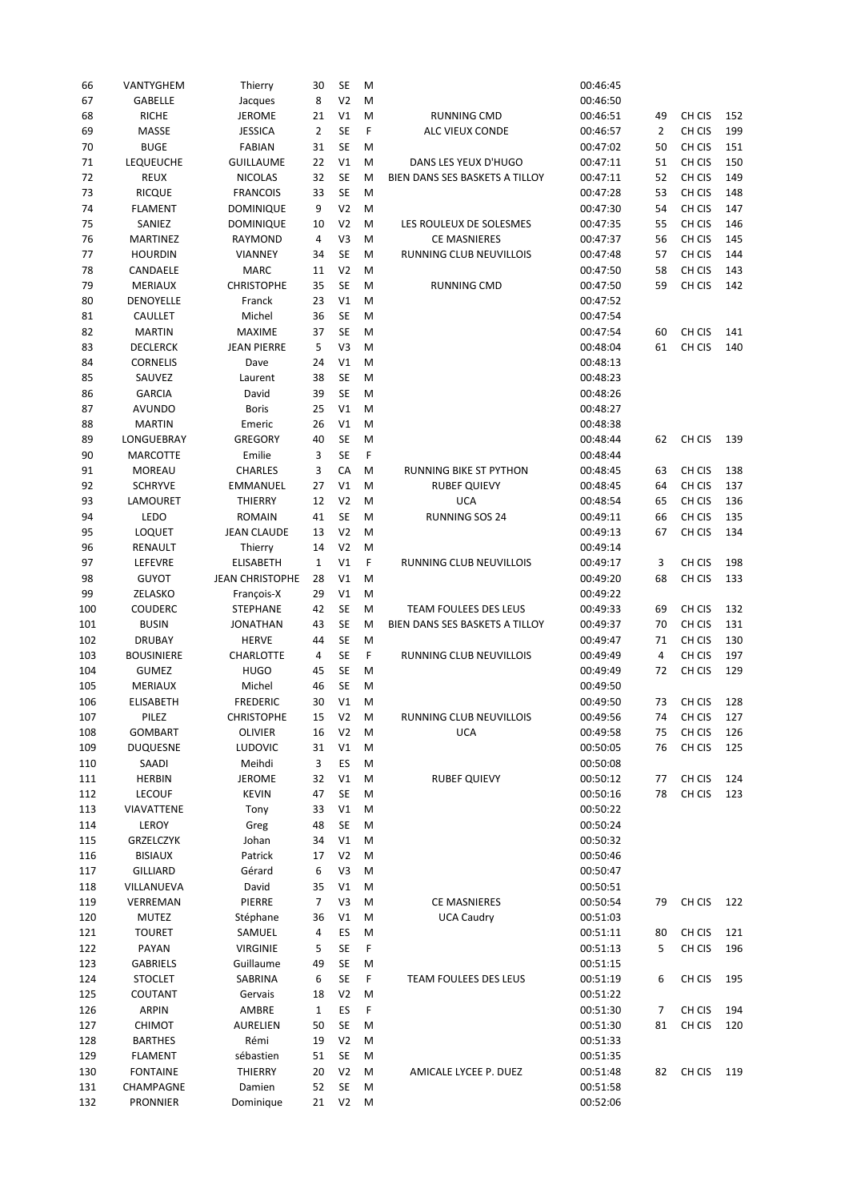| 66  | VANTYGHEM         | Thierry                | 30             | SE             | M |                                | 00:46:45 |                |        |     |
|-----|-------------------|------------------------|----------------|----------------|---|--------------------------------|----------|----------------|--------|-----|
| 67  | <b>GABELLE</b>    | Jacques                | 8              | V <sub>2</sub> | M |                                | 00:46:50 |                |        |     |
| 68  | <b>RICHE</b>      | <b>JEROME</b>          | 21             | V1             | M | RUNNING CMD                    | 00:46:51 | 49             | CH CIS | 152 |
| 69  | MASSE             | <b>JESSICA</b>         | $\overline{2}$ | <b>SE</b>      | F | ALC VIEUX CONDE                | 00:46:57 | $\overline{2}$ | CH CIS | 199 |
| 70  | <b>BUGE</b>       | <b>FABIAN</b>          | 31             | <b>SE</b>      | M |                                | 00:47:02 | 50             | CH CIS | 151 |
| 71  | <b>LEQUEUCHE</b>  | <b>GUILLAUME</b>       | 22             | V1             | M | DANS LES YEUX D'HUGO           | 00:47:11 | 51             | CH CIS | 150 |
| 72  | <b>REUX</b>       | <b>NICOLAS</b>         | 32             | <b>SE</b>      | M | BIEN DANS SES BASKETS A TILLOY | 00:47:11 | 52             | CH CIS | 149 |
| 73  | <b>RICQUE</b>     | <b>FRANCOIS</b>        | 33             | SE             | M |                                | 00:47:28 | 53             | CH CIS | 148 |
| 74  | <b>FLAMENT</b>    | <b>DOMINIQUE</b>       | 9              | V <sub>2</sub> | M |                                | 00:47:30 | 54             | CH CIS | 147 |
|     |                   |                        |                |                |   |                                | 00:47:35 |                |        |     |
| 75  | SANIEZ            | DOMINIQUE              | 10             | V <sub>2</sub> | M | LES ROULEUX DE SOLESMES        |          | 55             | CH CIS | 146 |
| 76  | <b>MARTINEZ</b>   | RAYMOND                | 4              | V3             | M | <b>CE MASNIERES</b>            | 00:47:37 | 56             | CH CIS | 145 |
| 77  | <b>HOURDIN</b>    | <b>VIANNEY</b>         | 34             | <b>SE</b>      | M | RUNNING CLUB NEUVILLOIS        | 00:47:48 | 57             | CH CIS | 144 |
| 78  | CANDAELE          | <b>MARC</b>            | 11             | V <sub>2</sub> | M |                                | 00:47:50 | 58             | CH CIS | 143 |
| 79  | <b>MERIAUX</b>    | <b>CHRISTOPHE</b>      | 35             | <b>SE</b>      | M | RUNNING CMD                    | 00:47:50 | 59             | CH CIS | 142 |
| 80  | DENOYELLE         | Franck                 | 23             | V1             | M |                                | 00:47:52 |                |        |     |
| 81  | CAULLET           | Michel                 | 36             | <b>SE</b>      | M |                                | 00:47:54 |                |        |     |
| 82  | <b>MARTIN</b>     | <b>MAXIME</b>          | 37             | SE             | M |                                | 00:47:54 | 60             | CH CIS | 141 |
| 83  | <b>DECLERCK</b>   | <b>JEAN PIERRE</b>     | 5              | V3             | M |                                | 00:48:04 | 61             | CH CIS | 140 |
| 84  | <b>CORNELIS</b>   | Dave                   | 24             | V1             | M |                                | 00:48:13 |                |        |     |
| 85  | SAUVEZ            | Laurent                | 38             | <b>SE</b>      | M |                                | 00:48:23 |                |        |     |
| 86  | <b>GARCIA</b>     | David                  | 39             | <b>SE</b>      | M |                                | 00:48:26 |                |        |     |
|     | <b>AVUNDO</b>     | <b>Boris</b>           | 25             | V1             | M |                                | 00:48:27 |                |        |     |
| 87  |                   |                        |                |                |   |                                |          |                |        |     |
| 88  | <b>MARTIN</b>     | Emeric                 | 26             | V1             | M |                                | 00:48:38 |                |        |     |
| 89  | LONGUEBRAY        | GREGORY                | 40             | <b>SE</b>      | M |                                | 00:48:44 | 62             | CH CIS | 139 |
| 90  | <b>MARCOTTE</b>   | Emilie                 | 3              | <b>SE</b>      | F |                                | 00:48:44 |                |        |     |
| 91  | <b>MOREAU</b>     | <b>CHARLES</b>         | 3              | CA             | M | <b>RUNNING BIKE ST PYTHON</b>  | 00:48:45 | 63             | CH CIS | 138 |
| 92  | <b>SCHRYVE</b>    | <b>EMMANUEL</b>        | 27             | V1             | M | <b>RUBEF QUIEVY</b>            | 00:48:45 | 64             | CH CIS | 137 |
| 93  | LAMOURET          | THIERRY                | 12             | V <sub>2</sub> | M | <b>UCA</b>                     | 00:48:54 | 65             | CH CIS | 136 |
| 94  | LEDO              | <b>ROMAIN</b>          | 41             | <b>SE</b>      | M | RUNNING SOS 24                 | 00:49:11 | 66             | CH CIS | 135 |
| 95  | <b>LOQUET</b>     | <b>JEAN CLAUDE</b>     | 13             | V <sub>2</sub> | M |                                | 00:49:13 | 67             | CH CIS | 134 |
| 96  | RENAULT           | Thierry                | 14             | V <sub>2</sub> | M |                                | 00:49:14 |                |        |     |
| 97  | LEFEVRE           | <b>ELISABETH</b>       | $\mathbf{1}$   | V1             | F | RUNNING CLUB NEUVILLOIS        | 00:49:17 | 3              | CH CIS | 198 |
| 98  | <b>GUYOT</b>      | <b>JEAN CHRISTOPHE</b> | 28             | V1             | M |                                | 00:49:20 | 68             | CH CIS | 133 |
| 99  | ZELASKO           | François-X             | 29             | V1             | M |                                | 00:49:22 |                |        |     |
| 100 | <b>COUDERC</b>    | <b>STEPHANE</b>        | 42             | <b>SE</b>      | M | TEAM FOULEES DES LEUS          | 00:49:33 | 69             | CH CIS | 132 |
|     | <b>BUSIN</b>      |                        | 43             | <b>SE</b>      |   | BIEN DANS SES BASKETS A TILLOY | 00:49:37 | 70             | CH CIS | 131 |
| 101 |                   | <b>JONATHAN</b>        |                |                | M |                                |          |                |        |     |
| 102 | <b>DRUBAY</b>     | <b>HERVE</b>           | 44             | SE             | M |                                | 00:49:47 | 71             | CH CIS | 130 |
| 103 | <b>BOUSINIERE</b> | <b>CHARLOTTE</b>       | $\overline{4}$ | <b>SE</b>      | F | RUNNING CLUB NEUVILLOIS        | 00:49:49 | 4              | CH CIS | 197 |
| 104 | <b>GUMEZ</b>      | <b>HUGO</b>            | 45             | <b>SE</b>      | M |                                | 00:49:49 | 72             | CH CIS | 129 |
| 105 | <b>MERIAUX</b>    | Michel                 | 46             | <b>SE</b>      | M |                                | 00:49:50 |                |        |     |
| 106 | <b>ELISABETH</b>  | <b>FREDERIC</b>        | 30             | V1             | M |                                | 00:49:50 | 73             | CH CIS | 128 |
| 107 | PILEZ             | <b>CHRISTOPHE</b>      | 15             | V <sub>2</sub> | M | <b>RUNNING CLUB NEUVILLOIS</b> | 00:49:56 | 74             | CH CIS | 127 |
| 108 | <b>GOMBART</b>    | <b>OLIVIER</b>         | 16             | V2             | M | <b>UCA</b>                     | 00:49:58 | 75             | CH CIS | 126 |
| 109 | DUQUESNE          | LUDOVIC                | 31             | $\vee\!1$      | M |                                | 00:50:05 | 76             | CH CIS | 125 |
| 110 | SAADI             | Meihdi                 | 3              | ES             | M |                                | 00:50:08 |                |        |     |
| 111 | <b>HERBIN</b>     | <b>JEROME</b>          | 32             | V1             | M | <b>RUBEF QUIEVY</b>            | 00:50:12 | 77             | CH CIS | 124 |
| 112 | <b>LECOUF</b>     | <b>KEVIN</b>           | 47             | SE             | M |                                | 00:50:16 | 78             | CH CIS | 123 |
| 113 | VIAVATTENE        | Tony                   | 33             | V1             | M |                                | 00:50:22 |                |        |     |
| 114 | LEROY             | Greg                   | 48             | SE             | M |                                | 00:50:24 |                |        |     |
|     |                   |                        |                |                |   |                                |          |                |        |     |
| 115 | GRZELCZYK         | Johan                  | 34             | V1             | M |                                | 00:50:32 |                |        |     |
| 116 | <b>BISIAUX</b>    | Patrick                | 17             | V <sub>2</sub> | M |                                | 00:50:46 |                |        |     |
| 117 | <b>GILLIARD</b>   | Gérard                 | 6              | V3             | M |                                | 00:50:47 |                |        |     |
| 118 | VILLANUEVA        | David                  | 35             | V1             | M |                                | 00:50:51 |                |        |     |
| 119 | VERREMAN          | PIERRE                 | 7              | V3             | M | <b>CE MASNIERES</b>            | 00:50:54 | 79             | CH CIS | 122 |
| 120 | <b>MUTEZ</b>      | Stéphane               | 36             | V1             | M | <b>UCA Caudry</b>              | 00:51:03 |                |        |     |
| 121 | <b>TOURET</b>     | SAMUEL                 | 4              | ES             | M |                                | 00:51:11 | 80             | CH CIS | 121 |
| 122 | PAYAN             | <b>VIRGINIE</b>        | 5              | SE             | F |                                | 00:51:13 | 5              | CH CIS | 196 |
| 123 | <b>GABRIELS</b>   | Guillaume              | 49             | SE             | M |                                | 00:51:15 |                |        |     |
| 124 | <b>STOCLET</b>    | SABRINA                | 6              | SE             | F | TEAM FOULEES DES LEUS          | 00:51:19 | 6              | CH CIS | 195 |
| 125 | COUTANT           | Gervais                | 18             | V <sub>2</sub> | M |                                | 00:51:22 |                |        |     |
| 126 |                   |                        | $\mathbf{1}$   | ES             | F |                                | 00:51:30 | 7              | CH CIS | 194 |
|     |                   |                        |                |                |   |                                |          |                |        |     |
|     | ARPIN             | AMBRE                  |                |                |   |                                |          |                |        |     |
| 127 | <b>CHIMOT</b>     | <b>AURELIEN</b>        | 50             | SE             | M |                                | 00:51:30 | 81             | CH CIS | 120 |
| 128 | <b>BARTHES</b>    | Rémi                   | 19             | V <sub>2</sub> | M |                                | 00:51:33 |                |        |     |
| 129 | <b>FLAMENT</b>    | sébastien              | 51             | SE             | M |                                | 00:51:35 |                |        |     |
| 130 | <b>FONTAINE</b>   | THIERRY                | 20             | V <sub>2</sub> | M | AMICALE LYCEE P. DUEZ          | 00:51:48 | 82             | CH CIS | 119 |
| 131 | CHAMPAGNE         | Damien<br>Dominique    | 52             | SE             | M |                                | 00:51:58 |                |        |     |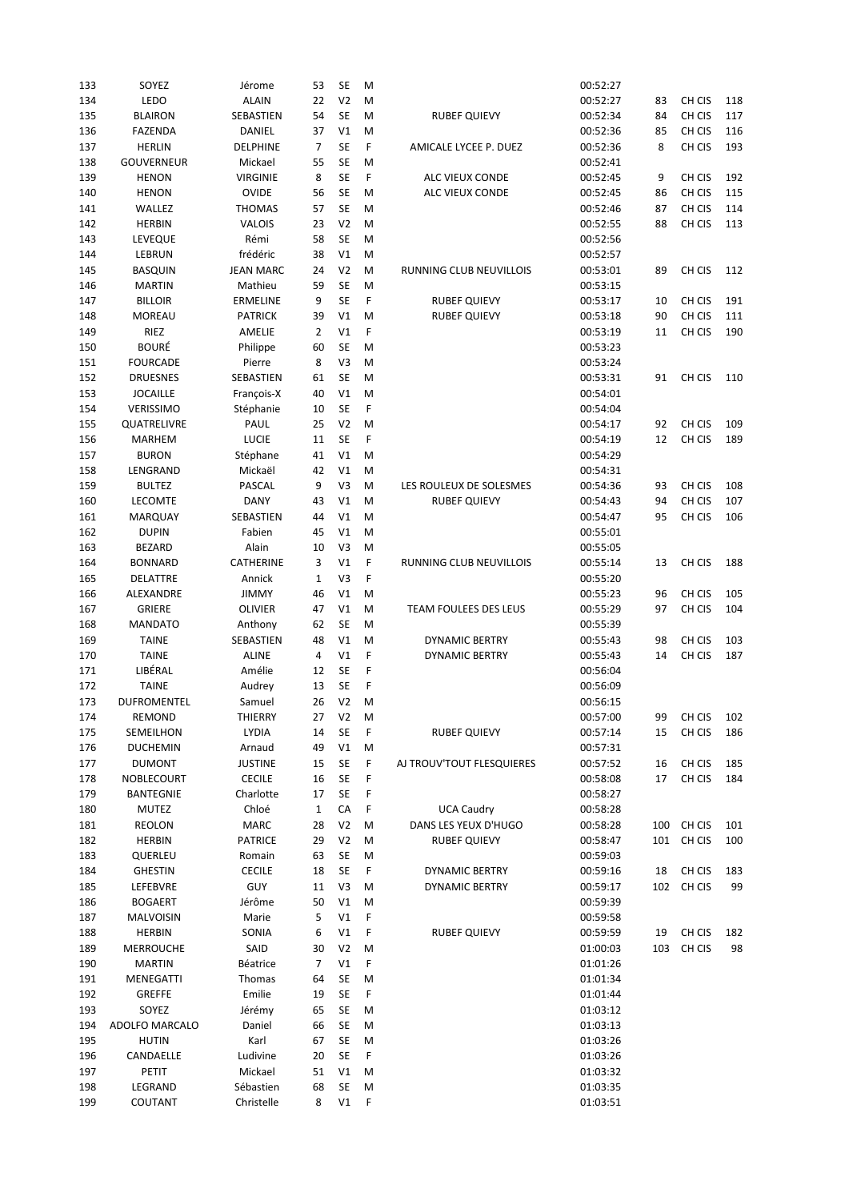| 133 | SOYEZ              | Jérome           | 53             | SE             | M |                           | 00:52:27 |    |            |     |
|-----|--------------------|------------------|----------------|----------------|---|---------------------------|----------|----|------------|-----|
| 134 | LEDO               | <b>ALAIN</b>     | 22             | V <sub>2</sub> | M |                           | 00:52:27 | 83 | CH CIS     | 118 |
| 135 | <b>BLAIRON</b>     | SEBASTIEN        | 54             | <b>SE</b>      | M | <b>RUBEF QUIEVY</b>       | 00:52:34 | 84 | CH CIS     | 117 |
| 136 | <b>FAZENDA</b>     | DANIEL           | 37             | V1             | M |                           | 00:52:36 | 85 | CH CIS     | 116 |
|     |                    |                  |                | <b>SE</b>      |   |                           |          |    |            |     |
| 137 | <b>HERLIN</b>      | <b>DELPHINE</b>  | $\overline{7}$ |                | F | AMICALE LYCEE P. DUEZ     | 00:52:36 | 8  | CH CIS     | 193 |
| 138 | <b>GOUVERNEUR</b>  | Mickael          | 55             | <b>SE</b>      | M |                           | 00:52:41 |    |            |     |
| 139 | <b>HENON</b>       | <b>VIRGINIE</b>  | 8              | <b>SE</b>      | F | ALC VIEUX CONDE           | 00:52:45 | 9  | CH CIS     | 192 |
| 140 | <b>HENON</b>       | <b>OVIDE</b>     | 56             | <b>SE</b>      | M | ALC VIEUX CONDE           | 00:52:45 | 86 | CH CIS     | 115 |
| 141 | WALLEZ             | <b>THOMAS</b>    | 57             | <b>SE</b>      | M |                           | 00:52:46 | 87 | CH CIS     | 114 |
| 142 | <b>HERBIN</b>      | <b>VALOIS</b>    | 23             | V <sub>2</sub> | M |                           | 00:52:55 | 88 | CH CIS     | 113 |
| 143 | LEVEQUE            | Rémi             | 58             | <b>SE</b>      | M |                           | 00:52:56 |    |            |     |
| 144 | LEBRUN             | frédéric         | 38             | V1             | M |                           | 00:52:57 |    |            |     |
| 145 | BASQUIN            | <b>JEAN MARC</b> | 24             | V <sub>2</sub> | M | RUNNING CLUB NEUVILLOIS   | 00:53:01 | 89 | CH CIS     | 112 |
|     | <b>MARTIN</b>      |                  |                | <b>SE</b>      |   |                           |          |    |            |     |
| 146 |                    | Mathieu          | 59             |                | M |                           | 00:53:15 |    |            |     |
| 147 | <b>BILLOIR</b>     | <b>ERMELINE</b>  | 9              | <b>SE</b>      | F | <b>RUBEF QUIEVY</b>       | 00:53:17 | 10 | CH CIS     | 191 |
| 148 | <b>MOREAU</b>      | <b>PATRICK</b>   | 39             | V1             | M | <b>RUBEF QUIEVY</b>       | 00:53:18 | 90 | CH CIS     | 111 |
| 149 | RIEZ               | AMELIE           | $\overline{2}$ | V <sub>1</sub> | F |                           | 00:53:19 | 11 | CH CIS     | 190 |
| 150 | <b>BOURÉ</b>       | Philippe         | 60             | <b>SE</b>      | M |                           | 00:53:23 |    |            |     |
| 151 | <b>FOURCADE</b>    | Pierre           | 8              | V3             | M |                           | 00:53:24 |    |            |     |
| 152 | <b>DRUESNES</b>    | SEBASTIEN        | 61             | <b>SE</b>      | M |                           | 00:53:31 | 91 | CH CIS     | 110 |
| 153 | <b>JOCAILLE</b>    | François-X       | 40             | V1             | M |                           | 00:54:01 |    |            |     |
| 154 | VERISSIMO          | Stéphanie        | 10             | <b>SE</b>      | F |                           | 00:54:04 |    |            |     |
|     |                    |                  |                |                |   |                           |          |    | CH CIS     |     |
| 155 | QUATRELIVRE        | PAUL             | 25             | V <sub>2</sub> | M |                           | 00:54:17 | 92 |            | 109 |
| 156 | <b>MARHEM</b>      | LUCIE            | 11             | <b>SE</b>      | F |                           | 00:54:19 | 12 | CH CIS     | 189 |
| 157 | <b>BURON</b>       | Stéphane         | 41             | V1             | M |                           | 00:54:29 |    |            |     |
| 158 | LENGRAND           | Mickaël          | 42             | V1             | M |                           | 00:54:31 |    |            |     |
| 159 | <b>BULTEZ</b>      | PASCAL           | 9              | V <sub>3</sub> | M | LES ROULEUX DE SOLESMES   | 00:54:36 | 93 | CH CIS     | 108 |
| 160 | <b>LECOMTE</b>     | <b>DANY</b>      | 43             | V1             | M | <b>RUBEF QUIEVY</b>       | 00:54:43 | 94 | CH CIS     | 107 |
| 161 | <b>MARQUAY</b>     | SEBASTIEN        | 44             | V1             | M |                           | 00:54:47 | 95 | CH CIS     | 106 |
| 162 | <b>DUPIN</b>       | Fabien           | 45             | V1             | M |                           | 00:55:01 |    |            |     |
| 163 | <b>BEZARD</b>      | Alain            | 10             | V <sub>3</sub> | M |                           | 00:55:05 |    |            |     |
|     |                    |                  |                |                |   |                           |          |    |            |     |
| 164 | <b>BONNARD</b>     | CATHERINE        | 3              | V1             | F | RUNNING CLUB NEUVILLOIS   | 00:55:14 | 13 | CH CIS     | 188 |
| 165 | DELATTRE           | Annick           | $\mathbf{1}$   | V3             | F |                           | 00:55:20 |    |            |     |
| 166 | ALEXANDRE          | <b>JIMMY</b>     | 46             | V1             | M |                           | 00:55:23 | 96 | CH CIS     | 105 |
| 167 | <b>GRIERE</b>      | <b>OLIVIER</b>   | 47             | V1             | M | TEAM FOULEES DES LEUS     | 00:55:29 | 97 | CH CIS     | 104 |
| 168 | <b>MANDATO</b>     | Anthony          | 62             | <b>SE</b>      | M |                           | 00:55:39 |    |            |     |
| 169 | <b>TAINE</b>       | SEBASTIEN        | 48             | V1             | M | <b>DYNAMIC BERTRY</b>     | 00:55:43 | 98 | CH CIS     | 103 |
| 170 | <b>TAINE</b>       | <b>ALINE</b>     | 4              | V1             | F | <b>DYNAMIC BERTRY</b>     | 00:55:43 | 14 | CH CIS     | 187 |
| 171 | LIBÉRAL            | Amélie           | 12             | <b>SE</b>      | F |                           | 00:56:04 |    |            |     |
| 172 | <b>TAINE</b>       | Audrey           | 13             | <b>SE</b>      | F |                           | 00:56:09 |    |            |     |
|     |                    |                  |                |                |   |                           |          |    |            |     |
| 173 | <b>DUFROMENTEL</b> | Samuel           | 26             | V <sub>2</sub> | M |                           | 00:56:15 |    |            |     |
| 174 | REMOND             | THIERRY          | 27             | V <sub>2</sub> | M |                           | 00:57:00 | 99 | CH CIS     | 102 |
| 175 | SEMEILHON          | LYDIA            | 14             | <b>SE</b>      | F | <b>RUBEF QUIEVY</b>       | 00:57:14 | 15 | CH CIS     | 186 |
| 176 | <b>DUCHEMIN</b>    | Arnaud           | 49             | V1             | M |                           | 00:57:31 |    |            |     |
| 177 | <b>DUMONT</b>      | <b>JUSTINE</b>   | 15             | <b>SE</b>      | F | AJ TROUV'TOUT FLESQUIERES | 00:57:52 | 16 | CH CIS     | 185 |
| 178 | NOBLECOURT         | <b>CECILE</b>    | 16             | SE             | F |                           | 00:58:08 | 17 | CH CIS     | 184 |
| 179 | BANTEGNIE          | Charlotte        | 17             | SE             | F |                           | 00:58:27 |    |            |     |
| 180 | MUTEZ              | Chloé            | $\mathbf{1}$   | CA             | F | <b>UCA Caudry</b>         | 00:58:28 |    |            |     |
| 181 | <b>REOLON</b>      | MARC             | 28             | V <sub>2</sub> | M | DANS LES YEUX D'HUGO      | 00:58:28 |    | 100 CH CIS | 101 |
| 182 | <b>HERBIN</b>      | <b>PATRICE</b>   | 29             | V <sub>2</sub> | M | <b>RUBEF QUIEVY</b>       | 00:58:47 |    | 101 CH CIS | 100 |
|     |                    |                  |                |                |   |                           |          |    |            |     |
| 183 | QUERLEU            | Romain           | 63             | SE             | M |                           | 00:59:03 |    |            |     |
| 184 | <b>GHESTIN</b>     | <b>CECILE</b>    | 18             | SE             | F | <b>DYNAMIC BERTRY</b>     | 00:59:16 | 18 | CH CIS     | 183 |
| 185 | LEFEBVRE           | GUY              | 11             | V3             | M | <b>DYNAMIC BERTRY</b>     | 00:59:17 |    | 102 CH CIS | 99  |
| 186 | <b>BOGAERT</b>     | Jérôme           | 50             | V1             | M |                           | 00:59:39 |    |            |     |
| 187 | <b>MALVOISIN</b>   | Marie            | 5              | V1             | F |                           | 00:59:58 |    |            |     |
| 188 | <b>HERBIN</b>      | SONIA            | 6              | V1             | F | <b>RUBEF QUIEVY</b>       | 00:59:59 | 19 | CH CIS     | 182 |
| 189 | <b>MERROUCHE</b>   | SAID             | 30             | V <sub>2</sub> | M |                           | 01:00:03 |    | 103 CH CIS | 98  |
| 190 | MARTIN             | Béatrice         | 7              | V1             | F |                           | 01:01:26 |    |            |     |
| 191 | MENEGATTI          | Thomas           | 64             | SE             | M |                           | 01:01:34 |    |            |     |
|     |                    |                  |                |                |   |                           |          |    |            |     |
| 192 | <b>GREFFE</b>      | Emilie           | 19             | SE             | F |                           | 01:01:44 |    |            |     |
| 193 | SOYEZ              | Jérémy           | 65             | SE             | M |                           | 01:03:12 |    |            |     |
| 194 | ADOLFO MARCALO     | Daniel           | 66             | SE             | M |                           | 01:03:13 |    |            |     |
| 195 | <b>HUTIN</b>       | Karl             | 67             | SE             | M |                           | 01:03:26 |    |            |     |
| 196 | CANDAELLE          | Ludivine         | 20             | <b>SE</b>      | F |                           | 01:03:26 |    |            |     |
| 197 | PETIT              | Mickael          | 51             | V1             | M |                           | 01:03:32 |    |            |     |
| 198 | LEGRAND            | Sébastien        | 68             | SE             | M |                           | 01:03:35 |    |            |     |
| 199 | COUTANT            | Christelle       | 8              | V1             | F |                           | 01:03:51 |    |            |     |
|     |                    |                  |                |                |   |                           |          |    |            |     |